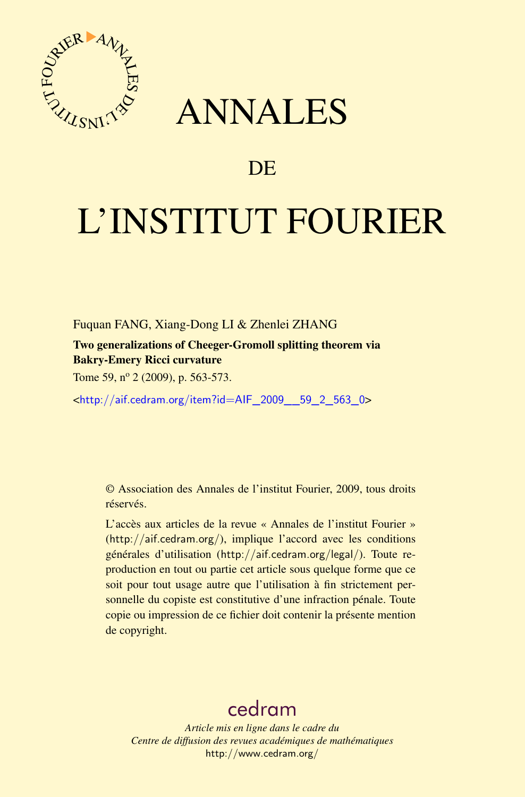

## ANNALES

## **DE**

# L'INSTITUT FOURIER

Fuquan FANG, Xiang-Dong LI & Zhenlei ZHANG

Two generalizations of Cheeger-Gromoll splitting theorem via Bakry-Emery Ricci curvature

Tome 59, nº 2 (2009), p. 563-573.

<[http://aif.cedram.org/item?id=AIF\\_2009\\_\\_59\\_2\\_563\\_0](http://aif.cedram.org/item?id=AIF_2009__59_2_563_0)>

© Association des Annales de l'institut Fourier, 2009, tous droits réservés.

L'accès aux articles de la revue « Annales de l'institut Fourier » (<http://aif.cedram.org/>), implique l'accord avec les conditions générales d'utilisation (<http://aif.cedram.org/legal/>). Toute reproduction en tout ou partie cet article sous quelque forme que ce soit pour tout usage autre que l'utilisation à fin strictement personnelle du copiste est constitutive d'une infraction pénale. Toute copie ou impression de ce fichier doit contenir la présente mention de copyright.

## [cedram](http://www.cedram.org/)

*Article mis en ligne dans le cadre du Centre de diffusion des revues académiques de mathématiques* <http://www.cedram.org/>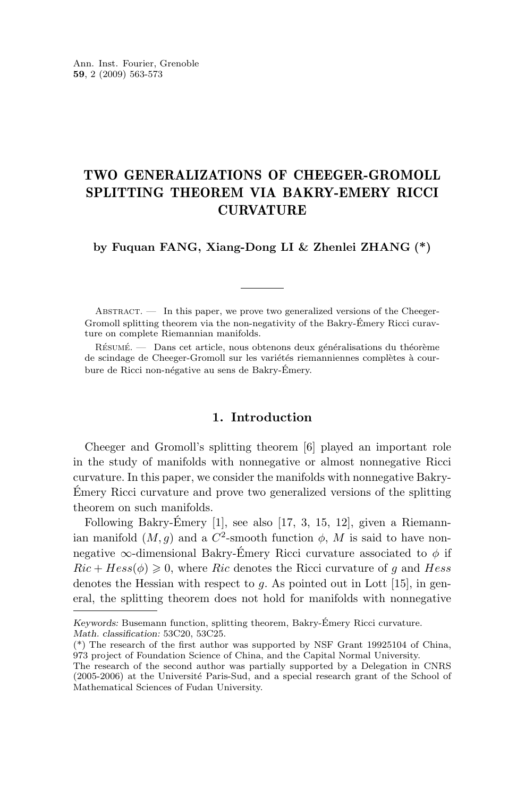### TWO GENERALIZATIONS OF CHEEGER-GROMOLL SPLITTING THEOREM VIA BAKRY-EMERY RICCI CURVATURE

**by Fuquan FANG, Xiang-Dong LI & Zhenlei ZHANG (\*)**

ABSTRACT. — In this paper, we prove two generalized versions of the Cheeger-Gromoll splitting theorem via the non-negativity of the Bakry-Émery Ricci curavture on complete Riemannian manifolds.

Résumé. — Dans cet article, nous obtenons deux généralisations du théorème de scindage de Cheeger-Gromoll sur les variétés riemanniennes complètes à courbure de Ricci non-négative au sens de Bakry-Émery.

#### **1. Introduction**

Cheeger and Gromoll's splitting theorem [\[6\]](#page-10-0) played an important role in the study of manifolds with nonnegative or almost nonnegative Ricci curvature. In this paper, we consider the manifolds with nonnegative Bakry-Émery Ricci curvature and prove two generalized versions of the splitting theorem on such manifolds.

Following Bakry-Émery  $[1]$ , see also  $[17, 3, 15, 12]$  $[17, 3, 15, 12]$  $[17, 3, 15, 12]$  $[17, 3, 15, 12]$  $[17, 3, 15, 12]$  $[17, 3, 15, 12]$  $[17, 3, 15, 12]$ , given a Riemannian manifold  $(M, g)$  and a  $C^2$ -smooth function  $\phi$ , M is said to have nonnegative  $\infty$ -dimensional Bakry-Émery Ricci curvature associated to  $\phi$  if  $Ric + Hess(\phi) \geq 0$ , where Ric denotes the Ricci curvature of q and Hess denotes the Hessian with respect to  $g$ . As pointed out in Lott [\[15\]](#page-10-0), in general, the splitting theorem does not hold for manifolds with nonnegative

*Keywords:* Busemann function, splitting theorem, Bakry-Émery Ricci curvature. *Math. classification:* 53C20, 53C25.

<sup>(\*)</sup> The research of the first author was supported by NSF Grant 19925104 of China, 973 project of Foundation Science of China, and the Capital Normal University.

The research of the second author was partially supported by a Delegation in CNRS (2005-2006) at the Université Paris-Sud, and a special research grant of the School of Mathematical Sciences of Fudan University.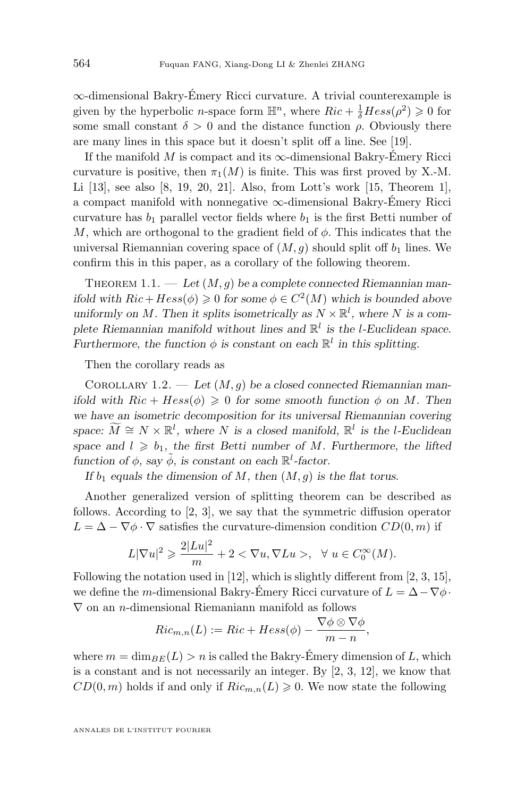<span id="page-2-0"></span>∞-dimensional Bakry-Émery Ricci curvature. A trivial counterexample is given by the hyperbolic *n*-space form  $\mathbb{H}^n$ , where  $Ric + \frac{1}{\delta} Hess(\rho^2) \geq 0$  for some small constant  $\delta > 0$  and the distance function  $\rho$ . Obviously there are many lines in this space but it doesn't split off a line. See [\[19\]](#page-11-0).

If the manifold M is compact and its  $\infty$ -dimensional Bakry-Émery Ricci curvature is positive, then  $\pi_1(M)$  is finite. This was first proved by X.-M. Li [\[13\]](#page-10-0), see also [\[8,](#page-10-0) [19,](#page-11-0) [20,](#page-11-0) [21\]](#page-11-0). Also, from Lott's work [\[15,](#page-10-0) Theorem 1], a compact manifold with nonnegative ∞-dimensional Bakry-Émery Ricci curvature has  $b_1$  parallel vector fields where  $b_1$  is the first Betti number of M, which are orthogonal to the gradient field of  $\phi$ . This indicates that the universal Riemannian covering space of  $(M, g)$  should split off  $b_1$  lines. We confirm this in this paper, as a corollary of the following theorem.

THEOREM  $1.1.$  — Let  $(M, g)$  be a complete connected Riemannian man*ifold with*  $Ric + Hess(\phi) \geq 0$  *for some*  $\phi \in C^2(M)$  *which is bounded above* uniformly on M. Then it splits isometrically as  $N \times \mathbb{R}^l$ , where N is a com*plete Riemannian manifold without lines and* R l *is the* l*-Euclidean space. Furthermore, the function*  $\phi$  *is constant on each*  $\mathbb{R}^l$  *in this splitting.* 

Then the corollary reads as

Corollary 1.2. — *Let* (M, g) *be a closed connected Riemannian manifold with*  $Ric + Hess(\phi) \geq 0$  *for some smooth function*  $\phi$  *on* M. Then *we have an isometric decomposition for its universal Riemannian covering space:*  $\widetilde{M} \cong N \times \mathbb{R}^l$ , where N *is a closed manifold*,  $\mathbb{R}^l$  *is the l-Euclidean space and*  $l \geq b_1$ *, the first Betti number of M. Furthermore, the lifted function of*  $\phi$ *, say*  $\tilde{\phi}$ *, is constant on each*  $\mathbb{R}^l$ -factor.

*If*  $b_1$  *equals the dimension of*  $M$ *, then*  $(M, g)$  *is the flat torus.* 

Another generalized version of splitting theorem can be described as follows. According to [\[2,](#page-10-0) [3\]](#page-10-0), we say that the symmetric diffusion operator  $L = \Delta - \nabla \phi \cdot \nabla$  satisfies the curvature-dimension condition  $CD(0, m)$  if

$$
L|\nabla u|^2 \geqslant \frac{2|Lu|^2}{m} + 2 < \nabla u, \nabla Lu > , \ \ \forall \ u \in C_0^{\infty}(M).
$$

Following the notation used in [\[12\]](#page-10-0), which is slightly different from [\[2,](#page-10-0) [3,](#page-10-0) [15\]](#page-10-0), we define the m-dimensional Bakry-Émery Ricci curvature of  $L = \Delta - \nabla \phi$ .  $\nabla$  on an *n*-dimensional Riemaniann manifold as follows

$$
Ric_{m,n}(L) := Ric + Hess(\phi) - \frac{\nabla \phi \otimes \nabla \phi}{m-n},
$$

where  $m = \dim_{BE}(L) > n$  is called the Bakry-Émery dimension of L, which is a constant and is not necessarily an integer. By [\[2,](#page-10-0) [3,](#page-10-0) [12\]](#page-10-0), we know that  $CD(0, m)$  holds if and only if  $Ric_{m,n}(L) \geq 0$ . We now state the following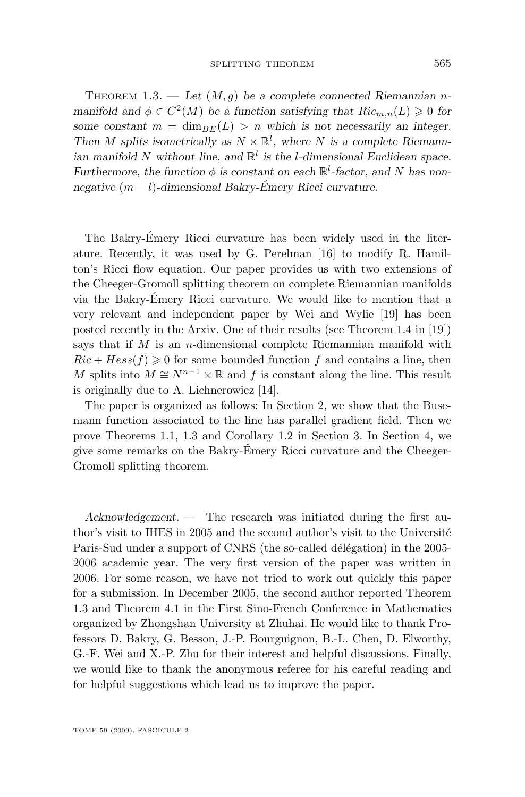THEOREM 1.3. — Let  $(M, g)$  be a complete connected Riemannian *nmanifold and*  $\phi \in C^2(M)$  *be a function satisfying that*  $Ric_{m,n}(L) \geq 0$  *for some constant*  $m = \dim_{BE}(L) > n$  which is not necessarily an integer. Then M splits isometrically as  $N \times \mathbb{R}^l$ , where N is a complete Riemann*ian manifold* N *without line, and* R l *is the* l*-dimensional Euclidean space. Furthermore, the function*  $\phi$  *is constant on each*  $\mathbb{R}^l$ -factor, and N has non*negative* (m − l)*-dimensional Bakry-Émery Ricci curvature.*

The Bakry-Émery Ricci curvature has been widely used in the literature. Recently, it was used by G. Perelman [\[16\]](#page-10-0) to modify R. Hamilton's Ricci flow equation. Our paper provides us with two extensions of the Cheeger-Gromoll splitting theorem on complete Riemannian manifolds via the Bakry-Émery Ricci curvature. We would like to mention that a very relevant and independent paper by Wei and Wylie [\[19\]](#page-11-0) has been posted recently in the Arxiv. One of their results (see Theorem 1.4 in [\[19\]](#page-11-0)) says that if  $M$  is an n-dimensional complete Riemannian manifold with  $Ric + Hess(f) \geq 0$  for some bounded function f and contains a line, then M splits into  $M \cong N^{n-1} \times \mathbb{R}$  and f is constant along the line. This result is originally due to A. Lichnerowicz [\[14\]](#page-10-0).

The paper is organized as follows: In Section 2, we show that the Busemann function associated to the line has parallel gradient field. Then we prove Theorems [1.1,](#page-2-0) [1.3](#page-2-0) and Corollary [1.2](#page-2-0) in Section 3. In Section 4, we give some remarks on the Bakry-Émery Ricci curvature and the Cheeger-Gromoll splitting theorem.

*Acknowledgement. —* The research was initiated during the first author's visit to IHES in 2005 and the second author's visit to the Université Paris-Sud under a support of CNRS (the so-called délégation) in the 2005- 2006 academic year. The very first version of the paper was written in 2006. For some reason, we have not tried to work out quickly this paper for a submission. In December 2005, the second author reported Theorem 1.3 and Theorem [4.1](#page-9-0) in the First Sino-French Conference in Mathematics organized by Zhongshan University at Zhuhai. He would like to thank Professors D. Bakry, G. Besson, J.-P. Bourguignon, B.-L. Chen, D. Elworthy, G.-F. Wei and X.-P. Zhu for their interest and helpful discussions. Finally, we would like to thank the anonymous referee for his careful reading and for helpful suggestions which lead us to improve the paper.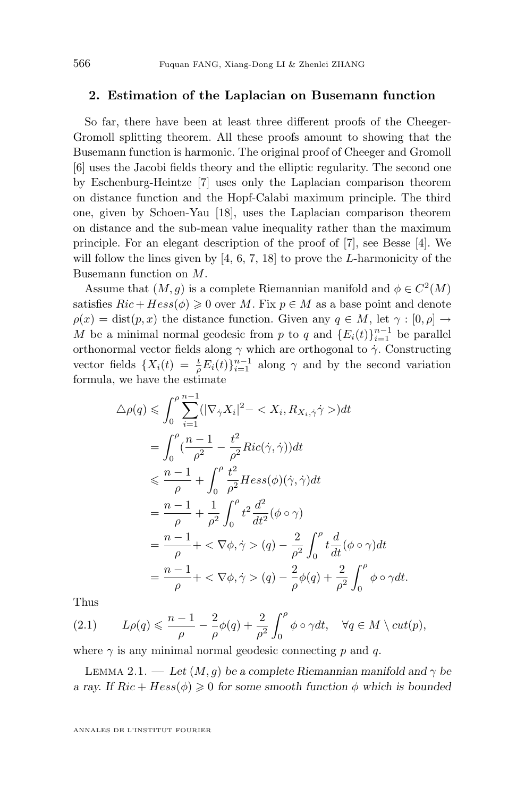#### <span id="page-4-0"></span>**2. Estimation of the Laplacian on Busemann function**

So far, there have been at least three different proofs of the Cheeger-Gromoll splitting theorem. All these proofs amount to showing that the Busemann function is harmonic. The original proof of Cheeger and Gromoll [\[6\]](#page-10-0) uses the Jacobi fields theory and the elliptic regularity. The second one by Eschenburg-Heintze [\[7\]](#page-10-0) uses only the Laplacian comparison theorem on distance function and the Hopf-Calabi maximum principle. The third one, given by Schoen-Yau [\[18\]](#page-10-0), uses the Laplacian comparison theorem on distance and the sub-mean value inequality rather than the maximum principle. For an elegant description of the proof of [\[7\]](#page-10-0), see Besse [\[4\]](#page-10-0). We will follow the lines given by  $[4, 6, 7, 18]$  $[4, 6, 7, 18]$  $[4, 6, 7, 18]$  $[4, 6, 7, 18]$  $[4, 6, 7, 18]$  $[4, 6, 7, 18]$  $[4, 6, 7, 18]$  to prove the *L*-harmonicity of the Busemann function on M.

Assume that  $(M, g)$  is a complete Riemannian manifold and  $\phi \in C^2(M)$ satisfies  $Ric + Hess(\phi) \geq 0$  over M. Fix  $p \in M$  as a base point and denote  $\rho(x) = \text{dist}(p, x)$  the distance function. Given any  $q \in M$ , let  $\gamma : [0, \rho] \to$ M be a minimal normal geodesic from p to q and  $\{E_i(t)\}_{i=1}^{n-1}$  be parallel orthonormal vector fields along  $\gamma$  which are orthogonal to  $\dot{\gamma}$ . Constructing vector fields  $\{X_i(t) = \frac{t}{\rho} E_i(t)\}_{i=1}^{n-1}$  along  $\gamma$  and by the second variation formula, we have the estimate

$$
\Delta \rho(q) \leq \int_0^{\rho} \sum_{i=1}^{n-1} (|\nabla_{\dot{\gamma}} X_i|^2 - \langle X_i, R_{X_i, \dot{\gamma}} \dot{\gamma} \rangle) dt
$$
  
\n
$$
= \int_0^{\rho} \left(\frac{n-1}{\rho^2} - \frac{t^2}{\rho^2} Ric(\dot{\gamma}, \dot{\gamma})\right) dt
$$
  
\n
$$
\leq \frac{n-1}{\rho} + \int_0^{\rho} \frac{t^2}{\rho^2} Hess(\phi)(\dot{\gamma}, \dot{\gamma}) dt
$$
  
\n
$$
= \frac{n-1}{\rho} + \frac{1}{\rho^2} \int_0^{\rho} t^2 \frac{d^2}{dt^2} (\phi \circ \gamma)
$$
  
\n
$$
= \frac{n-1}{\rho} + \langle \nabla \phi, \dot{\gamma} \rangle (q) - \frac{2}{\rho^2} \int_0^{\rho} t \frac{d}{dt} (\phi \circ \gamma) dt
$$
  
\n
$$
= \frac{n-1}{\rho} + \langle \nabla \phi, \dot{\gamma} \rangle (q) - \frac{2}{\rho} \phi(q) + \frac{2}{\rho^2} \int_0^{\rho} \phi \circ \gamma dt.
$$

Thus

(2.1) 
$$
L\rho(q) \leq \frac{n-1}{\rho} - \frac{2}{\rho}\phi(q) + \frac{2}{\rho^2} \int_0^{\rho} \phi \circ \gamma dt, \quad \forall q \in M \setminus cut(p),
$$

where  $\gamma$  is any minimal normal geodesic connecting p and q.

LEMMA 2.1. — Let  $(M, g)$  be a complete Riemannian manifold and  $\gamma$  be *a ray.* If  $Ric + Hess(\phi) \geq 0$  for some smooth function  $\phi$  which is bounded

ANNALES DE L'INSTITUT FOURIER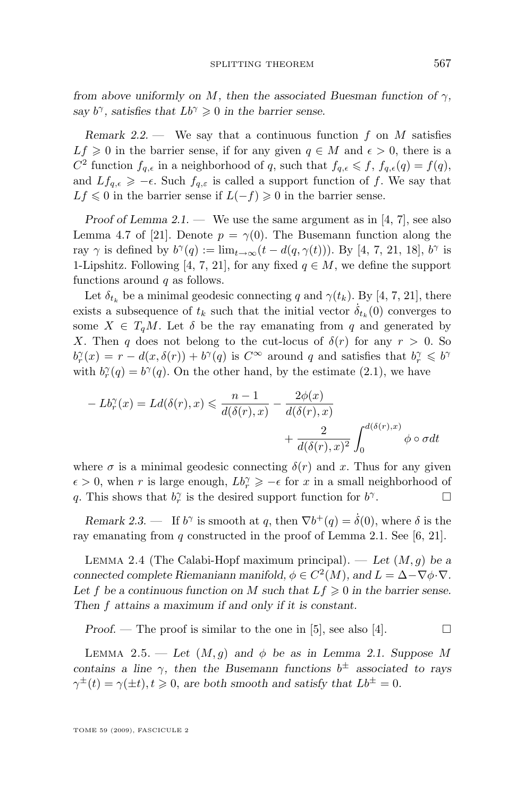<span id="page-5-0"></span>*from above uniformly on*  $M$ *, then the associated Buesman function of*  $\gamma$ *, say*  $b^{\gamma}$ *, satisfies that*  $Lb^{\gamma} \ge 0$  *in the barrier sense.* 

*Remark 2.2.* — We say that a continuous function f on M satisfies  $Lf \geq 0$  in the barrier sense, if for any given  $q \in M$  and  $\epsilon > 0$ , there is a  $C^2$  function  $f_{q,\epsilon}$  in a neighborhood of q, such that  $f_{q,\epsilon} \leqslant f$ ,  $f_{q,\epsilon}(q) = f(q)$ , and  $Lf_{q,\epsilon} \geq -\epsilon$ . Such  $f_{q,\epsilon}$  is called a support function of f. We say that  $Lf \le 0$  in the barrier sense if  $L(-f) \ge 0$  in the barrier sense.

*Proof of Lemma* [2.1.](#page-4-0) — We use the same argument as in [\[4,](#page-10-0) [7\]](#page-10-0), see also Lemma 4.7 of [\[21\]](#page-11-0). Denote  $p = \gamma(0)$ . The Busemann function along the ray  $\gamma$  is defined by  $b^{\gamma}(q) := \lim_{t \to \infty} (t - d(q, \gamma(t)))$ . By [\[4,](#page-10-0) [7,](#page-10-0) [21,](#page-11-0) [18\]](#page-10-0),  $b^{\gamma}$  is 1-Lipshitz. Following [\[4,](#page-10-0) [7,](#page-10-0) [21\]](#page-11-0), for any fixed  $q \in M$ , we define the support functions around  $q$  as follows.

Let  $\delta_{t_k}$  be a minimal geodesic connecting q and  $\gamma(t_k)$ . By [\[4,](#page-10-0) [7,](#page-10-0) [21\]](#page-11-0), there exists a subsequence of  $t_k$  such that the initial vector  $\dot{\delta}_{t_k}(0)$  converges to some  $X \in T_qM$ . Let  $\delta$  be the ray emanating from q and generated by X. Then q does not belong to the cut-locus of  $\delta(r)$  for any  $r > 0$ . So  $b_r^{\gamma}(x) = r - d(x, \delta(r)) + b^{\gamma}(q)$  is  $C^{\infty}$  around q and satisfies that  $b_r^{\gamma} \leqslant b^{\gamma}$ with  $b_r^{\gamma}(q) = b^{\gamma}(q)$ . On the other hand, by the estimate [\(2.1\)](#page-4-0), we have

$$
- Lb_r^{\gamma}(x) = Ld(\delta(r), x) \leq \frac{n-1}{d(\delta(r), x)} - \frac{2\phi(x)}{d(\delta(r), x)} + \frac{2}{d(\delta(r), x)^2} \int_0^{d(\delta(r), x)} \phi \circ \sigma dt
$$

where  $\sigma$  is a minimal geodesic connecting  $\delta(r)$  and x. Thus for any given  $\epsilon > 0$ , when r is large enough,  $Lb_r^{\gamma} \geqslant -\epsilon$  for x in a small neighborhood of q. This shows that  $b_r^{\gamma}$  is the desired support function for  $b^{\gamma}$ . — П

*Remark 2.3.* — If  $b^{\gamma}$  is smooth at q, then  $\nabla b^{+}(q) = \dot{\delta}(0)$ , where  $\delta$  is the ray emanating from q constructed in the proof of Lemma [2.1.](#page-4-0) See [\[6,](#page-10-0) [21\]](#page-11-0).

Lemma 2.4 (The Calabi-Hopf maximum principal). — *Let* (M, g) *be a connected complete Riemaniann manifold,*  $\phi \in C^2(M)$ *, and*  $L = \Delta - \nabla \phi \cdot \nabla$ *.* Let f be a continuous function on M such that  $Lf \geq 0$  in the barrier sense. *Then* f *attains a maximum if and only if it is constant.*

*Proof.* — The proof is similar to the one in [\[5\]](#page-10-0), see also [\[4\]](#page-10-0).  $\Box$ 

LEMMA 2.5. — Let  $(M, g)$  and  $\phi$  be as in Lemma [2.1.](#page-4-0) Suppose M *contains a line*  $\gamma$ , then the Busemann functions  $b^{\pm}$  associated to rays  $\gamma^{\pm}(t) = \gamma(\pm t), t \geq 0$ , are both smooth and satisfy that  $Lb^{\pm} = 0$ .

TOME 59 (2009), FASCICULE 2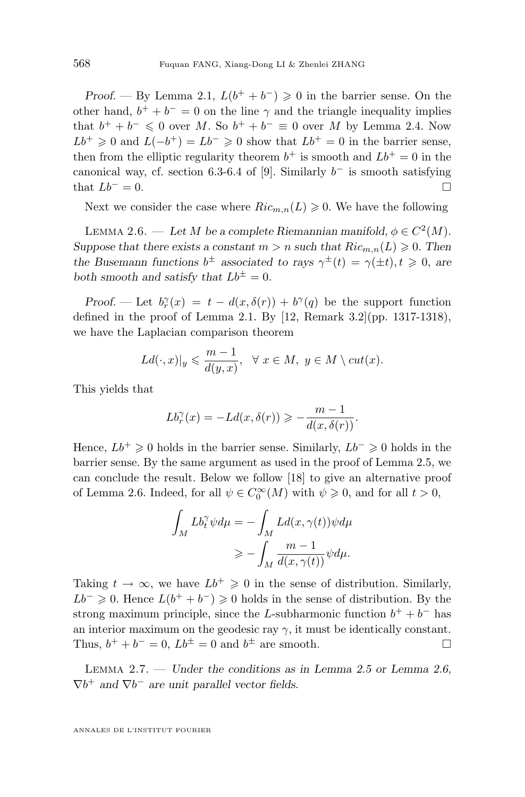<span id="page-6-0"></span>*Proof.* — By Lemma [2.1,](#page-4-0)  $L(b^+ + b^-) \geq 0$  in the barrier sense. On the other hand,  $b^+ + b^- = 0$  on the line  $\gamma$  and the triangle inequality implies that  $b^+ + b^- \leq 0$  over M. So  $b^+ + b^- \equiv 0$  over M by Lemma [2.4.](#page-5-0) Now  $Lb^{+} \geq 0$  and  $L(-b^{+}) = Lb^{-} \geq 0$  show that  $Lb^{+} = 0$  in the barrier sense, then from the elliptic regularity theorem  $b^+$  is smooth and  $Lb^+ = 0$  in the canonical way, cf. section 6.3-6.4 of [\[9\]](#page-10-0). Similarly  $b^-$  is smooth satisfying that  $Lb^- = 0$ .

Next we consider the case where  $Ric_{m,n}(L) \geq 0$ . We have the following

LEMMA 2.6. — Let M be a complete Riemannian manifold,  $\phi \in C^2(M)$ . *Suppose that there exists a constant*  $m > n$  *such that*  $Ric_{m,n}(L) \geq 0$ . Then the Busemann functions  $b^{\pm}$  associated to rays  $\gamma^{\pm}(t) = \gamma(\pm t), t \geq 0$ , are *both smooth and satisfy that*  $Lb^{\pm} = 0$ *.* 

*Proof.* — Let  $b_r^{\gamma}(x) = t - d(x, \delta(r)) + b^{\gamma}(q)$  be the support function defined in the proof of Lemma [2.1.](#page-4-0) By  $[12,$  Remark 3.2 $]$ (pp. 1317-1318), we have the Laplacian comparison theorem

$$
Ld(\cdot,x)|_y\leqslant \frac{m-1}{d(y,x)},\ \ \forall\ x\in M,\ y\in M\setminus cut(x).
$$

This yields that

$$
Lb_r^{\gamma}(x) = -Ld(x, \delta(r)) \geqslant -\frac{m-1}{d(x, \delta(r))}.
$$

Hence,  $Lb^+ \geq 0$  holds in the barrier sense. Similarly,  $Lb^- \geq 0$  holds in the barrier sense. By the same argument as used in the proof of Lemma [2.5,](#page-5-0) we can conclude the result. Below we follow [\[18\]](#page-10-0) to give an alternative proof of Lemma 2.6. Indeed, for all  $\psi \in C_0^{\infty}(M)$  with  $\psi \geq 0$ , and for all  $t > 0$ ,

$$
\begin{aligned} \int_M L b_t^\gamma \psi d\mu &= - \int_M L d(x, \gamma(t)) \psi d\mu \\ &\geqslant - \int_M \frac{m-1}{d(x, \gamma(t))} \psi d\mu. \end{aligned}
$$

Taking  $t \to \infty$ , we have  $Lb^+ \geq 0$  in the sense of distribution. Similarly,  $Lb^{-} \geq 0$ . Hence  $L(b^{+} + b^{-}) \geq 0$  holds in the sense of distribution. By the strong maximum principle, since the L-subharmonic function  $b^+ + b^-$  has an interior maximum on the geodesic ray  $\gamma$ , it must be identically constant. Thus,  $b^+ + b^- = 0$ ,  $Lb^{\pm} = 0$  and  $b^{\pm}$  are smooth.

Lemma 2.7. — *Under the conditions as in Lemma [2.5](#page-5-0) or Lemma 2.6,*  $\nabla b^+$  and  $\nabla b^-$  are unit parallel vector fields.

ANNALES DE L'INSTITUT FOURIER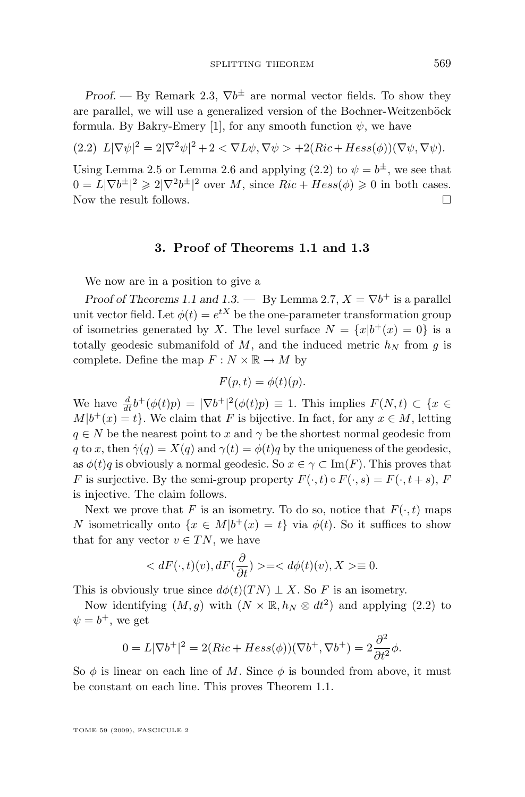<span id="page-7-0"></span>*Proof.* — By Remark [2.3,](#page-5-0)  $\nabla b^{\pm}$  are normal vector fields. To show they are parallel, we will use a generalized version of the Bochner-Weitzenböck formula. By Bakry-Emery [\[1\]](#page-10-0), for any smooth function  $\psi$ , we have

$$
(2.2) \ L|\nabla\psi|^2 = 2|\nabla^2\psi|^2 + 2 < \nabla L\psi, \nabla\psi > +2(Ric + Hess(\phi))(\nabla\psi, \nabla\psi).
$$

Using Lemma [2.5](#page-5-0) or Lemma [2.6](#page-6-0) and applying (2.2) to  $\psi = b^{\pm}$ , we see that  $0 = L|\nabla b^{\pm}|^2 \geq 2|\nabla^2 b^{\pm}|^2$  over M, since  $Ric + Hess(\phi) \geq 0$  in both cases. Now the result follows.

#### **3. Proof of Theorems [1.1](#page-2-0) and [1.3](#page-2-0)**

We now are in a position to give a

*Proof of Theorems* [1.1](#page-2-0) and [1.3.](#page-2-0) — By Lemma [2.7,](#page-6-0)  $X = \nabla b^{+}$  is a parallel unit vector field. Let  $\phi(t) = e^{tX}$  be the one-parameter transformation group of isometries generated by X. The level surface  $N = \{x|b^+(x) = 0\}$  is a totally geodesic submanifold of M, and the induced metric  $h<sub>N</sub>$  from g is complete. Define the map  $F: N \times \mathbb{R} \to M$  by

$$
F(p,t) = \phi(t)(p).
$$

We have  $\frac{d}{dt}b^+(\phi(t)p) = |\nabla b^+|^2(\phi(t)p) \equiv 1$ . This implies  $F(N,t) \subset \{x \in$  $M|b^+(x) = t$ . We claim that F is bijective. In fact, for any  $x \in M$ , letting  $q \in N$  be the nearest point to x and  $\gamma$  be the shortest normal geodesic from q to x, then  $\dot{\gamma}(q) = X(q)$  and  $\gamma(t) = \phi(t)q$  by the uniqueness of the geodesic, as  $\phi(t)q$  is obviously a normal geodesic. So  $x \in \gamma \subset \text{Im}(F)$ . This proves that F is surjective. By the semi-group property  $F(\cdot, t) \circ F(\cdot, s) = F(\cdot, t + s)$ , F is injective. The claim follows.

Next we prove that F is an isometry. To do so, notice that  $F(\cdot, t)$  maps N isometrically onto  $\{x \in M | b^+(x) = t\}$  via  $\phi(t)$ . So it suffices to show that for any vector  $v \in TN$ , we have

$$
\langle dF(\cdot,t)(v), dF(\frac{\partial}{\partial t}) \rangle = \langle d\phi(t)(v), X \rangle \equiv 0.
$$

This is obviously true since  $d\phi(t)(TN) \perp X$ . So F is an isometry.

Now identifying  $(M, g)$  with  $(N \times \mathbb{R}, h_N \otimes dt^2)$  and applying  $(2.2)$  to  $\psi = b^+,$  we get

$$
0 = L|\nabla b^+|^2 = 2(Ric + Hess(\phi))(\nabla b^+, \nabla b^+) = 2\frac{\partial^2}{\partial t^2}\phi.
$$

So  $\phi$  is linear on each line of M. Since  $\phi$  is bounded from above, it must be constant on each line. This proves Theorem [1.1.](#page-2-0)

TOME 59 (2009), FASCICULE 2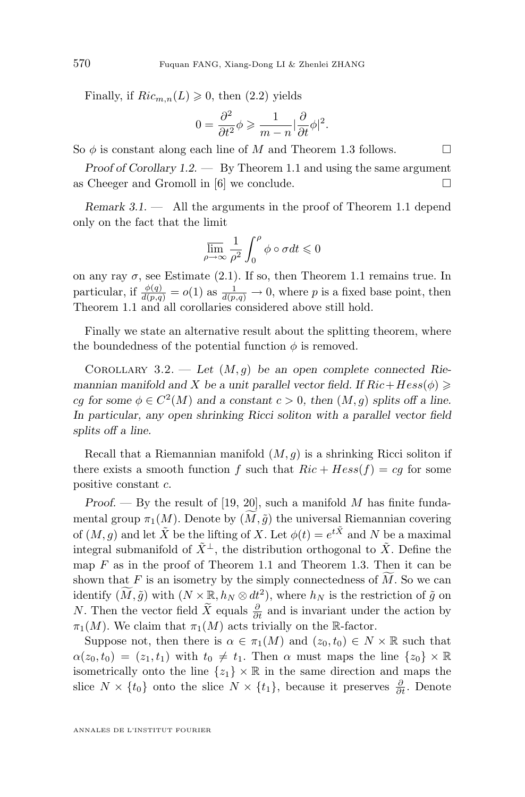Finally, if  $Ric_{m,n}(L) \geq 0$ , then  $(2.2)$  yields

$$
0 = \frac{\partial^2}{\partial t^2} \phi \geqslant \frac{1}{m-n} |\frac{\partial}{\partial t} \phi|^2.
$$

So  $\phi$  is constant along each line of M and Theorem [1.3](#page-2-0) follows.  $\Box$ 

*Proof of Corollary [1.2.](#page-2-0) —* By Theorem 1.1 and using the same argument as Cheeger and Gromoll in [\[6\]](#page-10-0) we conclude.  $\square$ 

*Remark 3.1. —* All the arguments in the proof of Theorem [1.1](#page-2-0) depend only on the fact that the limit

$$
\overline{\lim}_{\rho \to \infty} \frac{1}{\rho^2} \int_0^{\rho} \phi \circ \sigma dt \leq 0
$$

on any ray  $\sigma$ , see Estimate [\(2.1\)](#page-4-0). If so, then Theorem [1.1](#page-2-0) remains true. In particular, if  $\frac{\phi(q)}{d(p,q)} = o(1)$  as  $\frac{1}{d(p,q)} \to 0$ , where p is a fixed base point, then Theorem [1.1](#page-2-0) and all corollaries considered above still hold.

Finally we state an alternative result about the splitting theorem, where the boundedness of the potential function  $\phi$  is removed.

COROLLARY 3.2. — Let  $(M, g)$  be an open complete connected Rie*mannian manifold and* X *be a unit parallel vector field. If*  $Ric+Hess(\phi) \geq$ cg for some  $\phi \in C^2(M)$  and a constant  $c > 0$ , then  $(M, g)$  splits off a line. *In particular, any open shrinking Ricci soliton with a parallel vector field splits off a line.*

Recall that a Riemannian manifold  $(M, g)$  is a shrinking Ricci soliton if there exists a smooth function f such that  $Ric + Hess(f) = cg$  for some positive constant c.

*Proof.* — By the result of [\[19,](#page-11-0) [20\]](#page-11-0), such a manifold M has finite fundamental group  $\pi_1(M)$ . Denote by  $(M, \tilde{g})$  the universal Riemannian covering of  $(M, g)$  and let  $\tilde{X}$  be the lifting of X. Let  $\phi(t) = e^{t\tilde{X}}$  and N be a maximal integral submanifold of  $\tilde{X}^{\perp}$ , the distribution orthogonal to  $\tilde{X}$ . Define the map  $F$  as in the proof of Theorem [1.1](#page-2-0) and Theorem [1.3.](#page-2-0) Then it can be shown that  $F$  is an isometry by the simply connectedness of  $M$ . So we can identify  $(\widetilde{M}, \widetilde{g})$  with  $(N \times \mathbb{R}, h_N \otimes dt^2)$ , where  $h_N$  is the restriction of  $\widetilde{g}$  on N. Then the vector field  $\tilde{X}$  equals  $\frac{\partial}{\partial t}$  and is invariant under the action by  $\pi_1(M)$ . We claim that  $\pi_1(M)$  acts trivially on the R-factor.

Suppose not, then there is  $\alpha \in \pi_1(M)$  and  $(z_0, t_0) \in N \times \mathbb{R}$  such that  $\alpha(z_0, t_0) = (z_1, t_1)$  with  $t_0 \neq t_1$ . Then  $\alpha$  must maps the line  $\{z_0\} \times \mathbb{R}$ isometrically onto the line  $\{z_1\} \times \mathbb{R}$  in the same direction and maps the slice  $N \times \{t_0\}$  onto the slice  $N \times \{t_1\}$ , because it preserves  $\frac{\partial}{\partial t}$ . Denote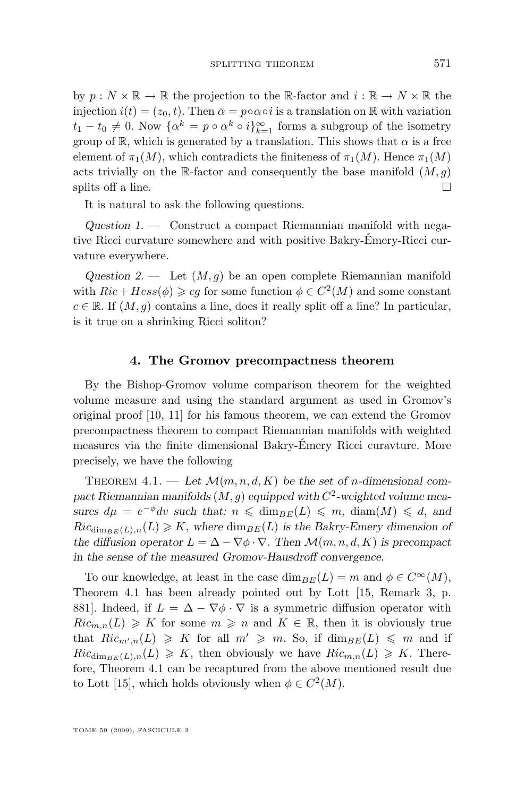<span id="page-9-0"></span>by  $p : N \times \mathbb{R} \to \mathbb{R}$  the projection to the R-factor and  $i : \mathbb{R} \to N \times \mathbb{R}$  the injection  $i(t) = (z_0, t)$ . Then  $\bar{\alpha} = p \circ \alpha \circ i$  is a translation on R with variation  $t_1 - t_0 \neq 0$ . Now  $\{\bar{\alpha}^k = p \circ \alpha^k \circ i\}_{k=1}^{\infty}$  forms a subgroup of the isometry group of R, which is generated by a translation. This shows that  $\alpha$  is a free element of  $\pi_1(M)$ , which contradicts the finiteness of  $\pi_1(M)$ . Hence  $\pi_1(M)$ acts trivially on the R-factor and consequently the base manifold  $(M, g)$ splits off a line.  $\Box$ 

It is natural to ask the following questions.

*Question 1. —* Construct a compact Riemannian manifold with negative Ricci curvature somewhere and with positive Bakry-Émery-Ricci curvature everywhere.

*Question 2.* — Let  $(M, g)$  be an open complete Riemannian manifold with  $Ric + Hess(\phi) \geqslant cg$  for some function  $\phi \in C^2(M)$  and some constant  $c \in \mathbb{R}$ . If  $(M, g)$  contains a line, does it really split off a line? In particular, is it true on a shrinking Ricci soliton?

#### **4. The Gromov precompactness theorem**

By the Bishop-Gromov volume comparison theorem for the weighted volume measure and using the standard argument as used in Gromov's original proof [\[10,](#page-10-0) [11\]](#page-10-0) for his famous theorem, we can extend the Gromov precompactness theorem to compact Riemannian manifolds with weighted measures via the finite dimensional Bakry-Émery Ricci curavture. More precisely, we have the following

THEOREM  $4.1.$  — Let  $\mathcal{M}(m, n, d, K)$  be the set of *n*-dimensional com*pact Riemannian manifolds* (M, g) *equipped with* C 2 *-weighted volume measures*  $d\mu = e^{-\phi}dv$  *such that:*  $n \leq d$  *dim<sub>BE</sub>*(*L*)  $\leq m$ *, diam*(*M*)  $\leq d$ *, and*  $Ric_{\dim_{BE}(L),n}(L) \geq K$ , where  $\dim_{BE}(L)$  is the Bakry-Emery dimension of *the diffusion operator*  $L = \Delta - \nabla \phi \cdot \nabla$ . Then  $\mathcal{M}(m, n, d, K)$  is precompact *in the sense of the measured Gromov-Hausdroff convergence.*

To our knowledge, at least in the case  $\dim_{BE}(L) = m$  and  $\phi \in C^{\infty}(M)$ , Theorem 4.1 has been already pointed out by Lott [\[15,](#page-10-0) Remark 3, p. 881]. Indeed, if  $L = \Delta - \nabla \phi \cdot \nabla$  is a symmetric diffusion operator with  $Ric_{m,n}(L) \geq K$  for some  $m \geq n$  and  $K \in \mathbb{R}$ , then it is obviously true that  $Ric_{m',n}(L) \geq K$  for all  $m' \geq m$ . So, if  $\dim_{BE}(L) \leq m$  and if  $Ric_{\dim_{BE}(L),n}(L) \geqslant K$ , then obviously we have  $Ric_{m,n}(L) \geqslant K$ . Therefore, Theorem 4.1 can be recaptured from the above mentioned result due to Lott [\[15\]](#page-10-0), which holds obviously when  $\phi \in C^2(M)$ .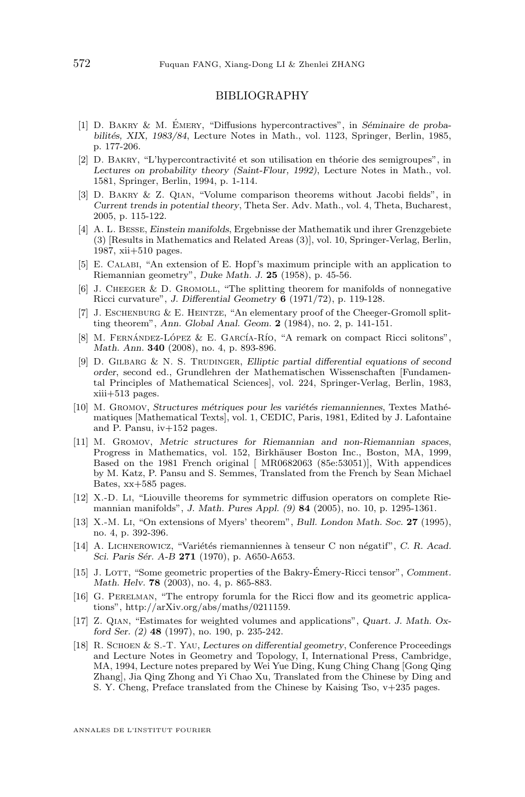#### BIBLIOGRAPHY

- <span id="page-10-0"></span>[1] D. Bakry & M. Émery, "Diffusions hypercontractives", in *Séminaire de probabilités, XIX, 1983/84*, Lecture Notes in Math., vol. 1123, Springer, Berlin, 1985, p. 177-206.
- [2] D. Bakry, "L'hypercontractivité et son utilisation en théorie des semigroupes", in *Lectures on probability theory (Saint-Flour, 1992)*, Lecture Notes in Math., vol. 1581, Springer, Berlin, 1994, p. 1-114.
- [3] D. Bakry & Z. Qian, "Volume comparison theorems without Jacobi fields", in *Current trends in potential theory*, Theta Ser. Adv. Math., vol. 4, Theta, Bucharest, 2005, p. 115-122.
- [4] A. L. Besse, *Einstein manifolds*, Ergebnisse der Mathematik und ihrer Grenzgebiete (3) [Results in Mathematics and Related Areas (3)], vol. 10, Springer-Verlag, Berlin, 1987, xii+510 pages.
- [5] E. Calabi, "An extension of E. Hopf's maximum principle with an application to Riemannian geometry", *Duke Math. J.* **25** (1958), p. 45-56.
- [6] J. CHEEGER  $\&$  D. GROMOLL, "The splitting theorem for manifolds of nonnegative Ricci curvature", *J. Differential Geometry* **6** (1971/72), p. 119-128.
- [7] J. Eschenburg & E. Heintze, "An elementary proof of the Cheeger-Gromoll splitting theorem", *Ann. Global Anal. Geom.* **2** (1984), no. 2, p. 141-151.
- [8] M. Fernández-López & E. García-Río, "A remark on compact Ricci solitons", *Math. Ann.* **340** (2008), no. 4, p. 893-896.
- [9] D. GILBARG & N. S. TRUDINGER, *Elliptic partial differential equations of second order*, second ed., Grundlehren der Mathematischen Wissenschaften [Fundamental Principles of Mathematical Sciences], vol. 224, Springer-Verlag, Berlin, 1983, xiii+513 pages.
- [10] M. Gromov, *Structures métriques pour les variétés riemanniennes*, Textes Mathématiques [Mathematical Texts], vol. 1, CEDIC, Paris, 1981, Edited by J. Lafontaine and P. Pansu, iv+152 pages.
- [11] M. Gromov, *Metric structures for Riemannian and non-Riemannian spaces*, Progress in Mathematics, vol. 152, Birkhäuser Boston Inc., Boston, MA, 1999, Based on the 1981 French original [ MR0682063 (85e:53051)], With appendices by M. Katz, P. Pansu and S. Semmes, Translated from the French by Sean Michael Bates, xx+585 pages.
- [12] X.-D. Li, "Liouville theorems for symmetric diffusion operators on complete Riemannian manifolds", *J. Math. Pures Appl. (9)* **84** (2005), no. 10, p. 1295-1361.
- [13] X.-M. Li, "On extensions of Myers' theorem", *Bull. London Math. Soc.* **27** (1995), no. 4, p. 392-396.
- [14] A. Lichnerowicz, "Variétés riemanniennes à tenseur C non négatif", *C. R. Acad. Sci. Paris Sér. A-B* **271** (1970), p. A650-A653.
- [15] J. Lott, "Some geometric properties of the Bakry-Émery-Ricci tensor", *Comment. Math. Helv.* **78** (2003), no. 4, p. 865-883.
- [16] G. Perelman, "The entropy forumla for the Ricci flow and its geometric applications", http://arXiv.org/abs/maths/0211159.
- [17] Z. Qian, "Estimates for weighted volumes and applications", *Quart. J. Math. Oxford Ser. (2)* **48** (1997), no. 190, p. 235-242.
- [18] R. Schoen & S.-T. Yau, *Lectures on differential geometry*, Conference Proceedings and Lecture Notes in Geometry and Topology, I, International Press, Cambridge, MA, 1994, Lecture notes prepared by Wei Yue Ding, Kung Ching Chang [Gong Qing Zhang], Jia Qing Zhong and Yi Chao Xu, Translated from the Chinese by Ding and S. Y. Cheng, Preface translated from the Chinese by Kaising Tso, v+235 pages.